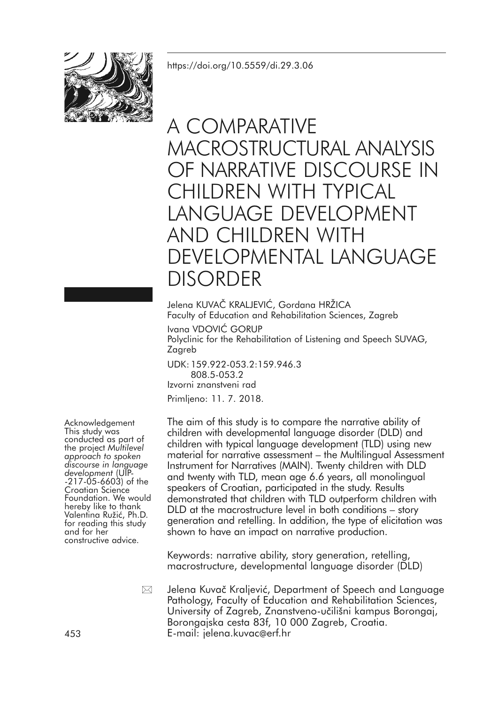

# A COMPARATIVE MACROSTRUCTURAL ANALYSIS OF NARRATIVE DISCOURSE IN CHILDREN WITH TYPICAL LANGUAGE DEVELOPMENT AND CHILDREN WITH DEVELOPMENTAL LANGUAGE DISORDER

Jelena KUVAČ KRALJEVIĆ, Gordana HRŽICA Faculty of Education and Rehabilitation Sciences, Zagreb Ivana VDOVIĆ GORUP Polyclinic for the Rehabilitation of Listening and Speech SUVAG, Zagreb UDK:159.922-053.2:159.946.3 808.5-053.2 Izvorni znanstveni rad Primljeno: 11. 7. 2018.

Acknowledgement<br>This study was conducted as part of<br>the project Multilevel the project *Multilevel approach to spoken discourse in language development* (UIP- -217-05-6603) of the Croatian Science Foundation. We would hereby like to thank<br>Valentina Ružić, Ph.D. for reading this study<br>and for her<br>constructive advice.

The aim of this study is to compare the narrative ability of children with developmental language disorder (DLD) and children with typical language development (TLD) using new material for narrative assessment – the Multilingual Assessment Instrument for Narratives (MAIN). Twenty children with DLD and twenty with TLD, mean age 6.6 years, all monolingual speakers of Croatian, participated in the study. Results demonstrated that children with TLD outperform children with DLD at the macrostructure level in both conditions – story generation and retelling. In addition, the type of elicitation was shown to have an impact on narrative production.

Keywords: narrative ability, story generation, retelling, macrostructure, developmental language disorder (DLD)

Jelena Kuvač Kraljević, Department of Speech and Language Pathology, Faculty of Education and Rehabilitation Sciences, University of Zagreb, Znanstveno-učilišni kampus Borongaj, Borongajska cesta 83f, 10 000 Zagreb, Croatia. 453 E-mail: jelena.kuvac@erf.hr  $\boxtimes$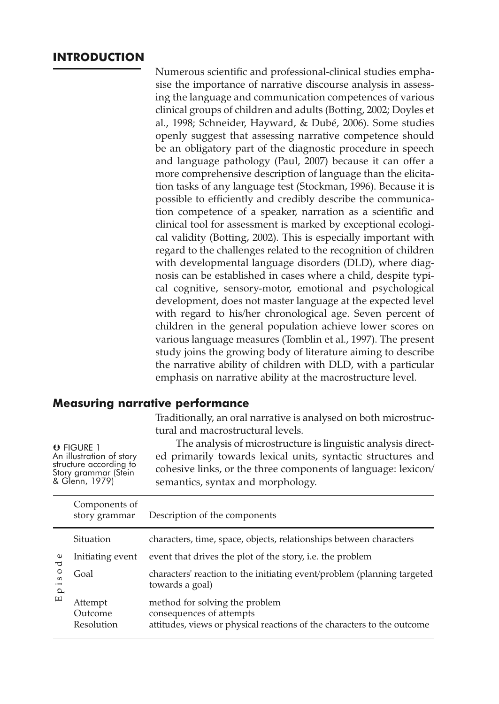## **INTRODUCTION**

Numerous scientific and professional-clinical studies emphasise the importance of narrative discourse analysis in assessing the language and communication competences of various clinical groups of children and adults (Botting, 2002; Doyles et al., 1998; Schneider, Hayward, & Dubé, 2006). Some studies openly suggest that assessing narrative competence should be an obligatory part of the diagnostic procedure in speech and language pathology (Paul, 2007) because it can offer a more comprehensive description of language than the elicitation tasks of any language test (Stockman, 1996). Because it is possible to efficiently and credibly describe the communication competence of a speaker, narration as a scientific and clinical tool for assessment is marked by exceptional ecological validity (Botting, 2002). This is especially important with regard to the challenges related to the recognition of children with developmental language disorders (DLD), where diagnosis can be established in cases where a child, despite typical cognitive, sensory-motor, emotional and psychological development, does not master language at the expected level with regard to his/her chronological age. Seven percent of children in the general population achieve lower scores on various language measures (Tomblin et al., 1997). The present study joins the growing body of literature aiming to describe the narrative ability of children with DLD, with a particular emphasis on narrative ability at the macrostructure level.

## **Measuring narrative performance**

Traditionally, an oral narrative is analysed on both microstructural and macrostructural levels.

The analysis of microstructure is linguistic analysis directed primarily towards lexical units, syntactic structures and cohesive links, or the three components of language: lexicon/ semantics, syntax and morphology.

|                               | Components of<br>story grammar   | Description of the components                                                                                                         |
|-------------------------------|----------------------------------|---------------------------------------------------------------------------------------------------------------------------------------|
| $\circ$<br>ರ<br>$\Omega$<br>ш | Situation                        | characters, time, space, objects, relationships between characters                                                                    |
|                               | Initiating event                 | event that drives the plot of the story, <i>i.e.</i> the problem                                                                      |
|                               | Goal                             | characters' reaction to the initiating event/problem (planning targeted<br>towards a goal)                                            |
|                               | Attempt<br>Outcome<br>Resolution | method for solving the problem<br>consequences of attempts<br>attitudes, views or physical reactions of the characters to the outcome |

**U** FIGURE 1<br>An illustration of story structure according to<br>Story grammar (Stein<br>& Glenn, 1979)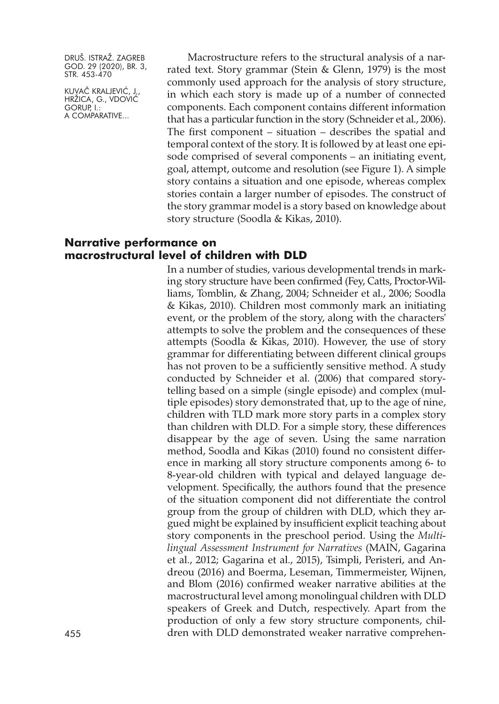KUVAČ KRALJEVIĆ, J., HRŽICA, G., VDOVIĆ GORUP, I.: A COMPARATIVE...

Macrostructure refers to the structural analysis of a narrated text. Story grammar (Stein & Glenn, 1979) is the most commonly used approach for the analysis of story structure, in which each story is made up of a number of connected components. Each component contains different information that has a particular function in the story (Schneider et al., 2006). The first component – situation – describes the spatial and temporal context of the story. It is followed by at least one episode comprised of several components – an initiating event, goal, attempt, outcome and resolution (see Figure 1). A simple story contains a situation and one episode, whereas complex stories contain a larger number of episodes. The construct of the story grammar model is a story based on knowledge about story structure (Soodla & Kikas, 2010).

## **Narrative performance on macrostructural level of children with DLD**

In a number of studies, various developmental trends in marking story structure have been confirmed (Fey, Catts, Proctor-Williams, Tomblin, & Zhang, 2004; Schneider et al., 2006; Soodla & Kikas, 2010). Children most commonly mark an initiating event, or the problem of the story, along with the characters' attempts to solve the problem and the consequences of these attempts (Soodla & Kikas, 2010). However, the use of story grammar for differentiating between different clinical groups has not proven to be a sufficiently sensitive method. A study conducted by Schneider et al. (2006) that compared storytelling based on a simple (single episode) and complex (multiple episodes) story demonstrated that, up to the age of nine, children with TLD mark more story parts in a complex story than children with DLD. For a simple story, these differences disappear by the age of seven. Using the same narration method, Soodla and Kikas (2010) found no consistent difference in marking all story structure components among 6- to 8-year-old children with typical and delayed language development. Specifically, the authors found that the presence of the situation component did not differentiate the control group from the group of children with DLD, which they argued might be explained by insufficient explicit teaching about story components in the preschool period. Using the *Multilingual Assessment Instrument for Narratives* (MAIN, Gagarina et al., 2012; Gagarina et al., 2015), Tsimpli, Peristeri, and Andreou (2016) and Boerma, Leseman, Timmermeister, Wijnen, and Blom (2016) confirmed weaker narrative abilities at the macrostructural level among monolingual children with DLD speakers of Greek and Dutch, respectively. Apart from the production of only a few story structure components, chil-455 dren with DLD demonstrated weaker narrative comprehen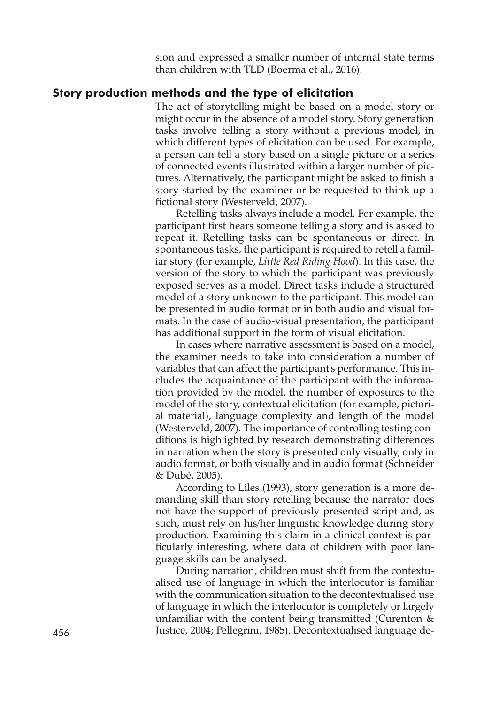sion and expressed a smaller number of internal state terms than children with TLD (Boerma et al., 2016).

#### **Story production methods and the type of elicitation**

The act of storytelling might be based on a model story or might occur in the absence of a model story. Story generation tasks involve telling a story without a previous model, in which different types of elicitation can be used. For example, a person can tell a story based on a single picture or a series of connected events illustrated within a larger number of pictures. Alternatively, the participant might be asked to finish a story started by the examiner or be requested to think up a fictional story (Westerveld, 2007).

Retelling tasks always include a model. For example, the participant first hears someone telling a story and is asked to repeat it. Retelling tasks can be spontaneous or direct. In spontaneous tasks, the participant is required to retell a familiar story (for example, *Little Red Riding Hood*). In this case, the version of the story to which the participant was previously exposed serves as a model. Direct tasks include a structured model of a story unknown to the participant. This model can be presented in audio format or in both audio and visual formats. In the case of audio-visual presentation, the participant has additional support in the form of visual elicitation.

In cases where narrative assessment is based on a model, the examiner needs to take into consideration a number of variables that can affect the participant's performance. This includes the acquaintance of the participant with the information provided by the model, the number of exposures to the model of the story, contextual elicitation (for example, pictorial material), language complexity and length of the model (Westerveld, 2007). The importance of controlling testing conditions is highlighted by research demonstrating differences in narration when the story is presented only visually, only in audio format, or both visually and in audio format (Schneider & Dubé, 2005).

According to Liles (1993), story generation is a more demanding skill than story retelling because the narrator does not have the support of previously presented script and, as such, must rely on his/her linguistic knowledge during story production. Examining this claim in a clinical context is particularly interesting, where data of children with poor language skills can be analysed.

During narration, children must shift from the contextualised use of language in which the interlocutor is familiar with the communication situation to the decontextualised use of language in which the interlocutor is completely or largely unfamiliar with the content being transmitted (Curenton & 456 Justice, 2004; Pellegrini, 1985). Decontextualised language de-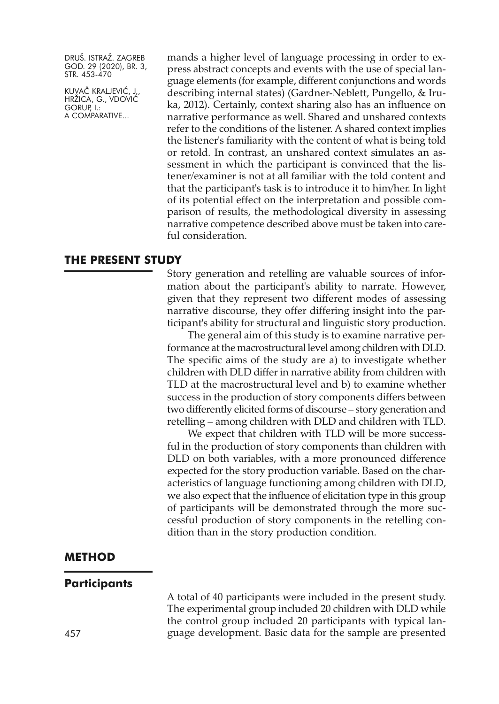KUVAČ KRALJEVIĆ, J., HRŽICA, G., VDOVIĆ GORUP, I.: A COMPARATIVE...

mands a higher level of language processing in order to express abstract concepts and events with the use of special language elements (for example, different conjunctions and words describing internal states) (Gardner-Neblett, Pungello, & Iruka, 2012). Certainly, context sharing also has an influence on narrative performance as well. Shared and unshared contexts refer to the conditions of the listener. A shared context implies the listener's familiarity with the content of what is being told or retold. In contrast, an unshared context simulates an assessment in which the participant is convinced that the listener/examiner is not at all familiar with the told content and that the participant's task is to introduce it to him/her. In light of its potential effect on the interpretation and possible comparison of results, the methodological diversity in assessing narrative competence described above must be taken into careful consideration.

#### **THE PRESENT STUDY**

Story generation and retelling are valuable sources of information about the participant's ability to narrate. However, given that they represent two different modes of assessing narrative discourse, they offer differing insight into the participant's ability for structural and linguistic story production.

The general aim of this study is to examine narrative performance at the macrostructural level among children with DLD. The specific aims of the study are a) to investigate whether children with DLD differ in narrative ability from children with TLD at the macrostructural level and b) to examine whether success in the production of story components differs between two differently elicited forms of discourse – story generation and retelling – among children with DLD and children with TLD.

We expect that children with TLD will be more successful in the production of story components than children with DLD on both variables, with a more pronounced difference expected for the story production variable. Based on the characteristics of language functioning among children with DLD, we also expect that the influence of elicitation type in this group of participants will be demonstrated through the more successful production of story components in the retelling condition than in the story production condition.

#### **METHOD**

#### **Participants**

A total of 40 participants were included in the present study. The experimental group included 20 children with DLD while the control group included 20 participants with typical lan-457 guage development. Basic data for the sample are presented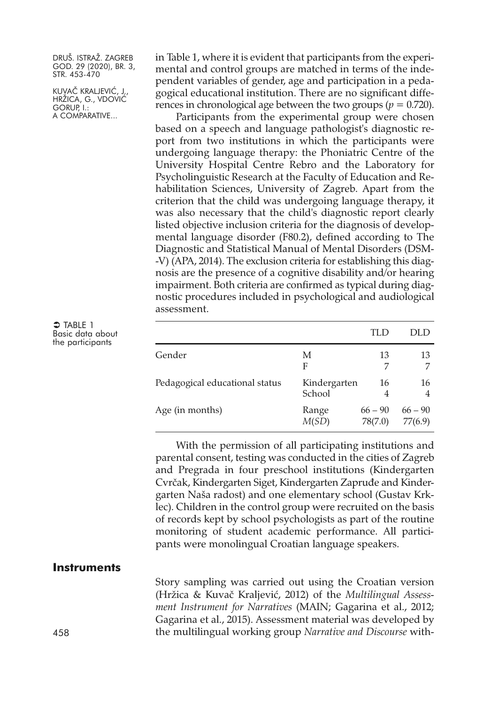KUVAČ KRALJEVIĆ, J., HRŽICA, G., VDOVIĆ GORUP, I.: A COMPARATIVE...

in Table 1, where it is evident that participants from the experimental and control groups are matched in terms of the independent variables of gender, age and participation in a pedagogical educational institution. There are no significant differences in chronological age between the two groups ( $p = 0.720$ ).

Participants from the experimental group were chosen based on a speech and language pathologist's diagnostic report from two institutions in which the participants were undergoing language therapy: the Phoniatric Centre of the University Hospital Centre Rebro and the Laboratory for Psycholinguistic Research at the Faculty of Education and Rehabilitation Sciences, University of Zagreb. Apart from the criterion that the child was undergoing language therapy, it was also necessary that the child's diagnostic report clearly listed objective inclusion criteria for the diagnosis of developmental language disorder (F80.2), defined according to The Diagnostic and Statistical Manual of Mental Disorders (DSM- -V) (APA, 2014). The exclusion criteria for establishing this diagnosis are the presence of a cognitive disability and/or hearing impairment. Both criteria are confirmed as typical during diagnostic procedures included in psychological and audiological assessment.

|                                |              |           | כו וכ          |
|--------------------------------|--------------|-----------|----------------|
| Gender                         | M<br>F       | 13<br>7   | 13             |
| Pedagogical educational status | Kindergarten | 16        | 16             |
|                                | School       | 4         | $\overline{4}$ |
| Age (in months)                | Range        | $66 - 90$ | $66 - 90$      |
|                                | M(SD)        | 78(7.0)   | 77(6.9)        |

With the permission of all participating institutions and parental consent, testing was conducted in the cities of Zagreb and Pregrada in four preschool institutions (Kindergarten Cvrčak, Kindergarten Siget, Kindergarten Zapruđe and Kindergarten Naša radost) and one elementary school (Gustav Krklec). Children in the control group were recruited on the basis of records kept by school psychologists as part of the routine monitoring of student academic performance. All participants were monolingual Croatian language speakers.

#### **Instruments**

Story sampling was carried out using the Croatian version (Hržica & Kuvač Kraljević, 2012) of the *Multilingual Assessment Instrument for Narratives* (MAIN; Gagarina et al., 2012; Gagarina et al., 2015). Assessment material was developed by 458 the multilingual working group *Narrative and Discourse* with-

 $\supset$  TABLE 1 Basic data about the participants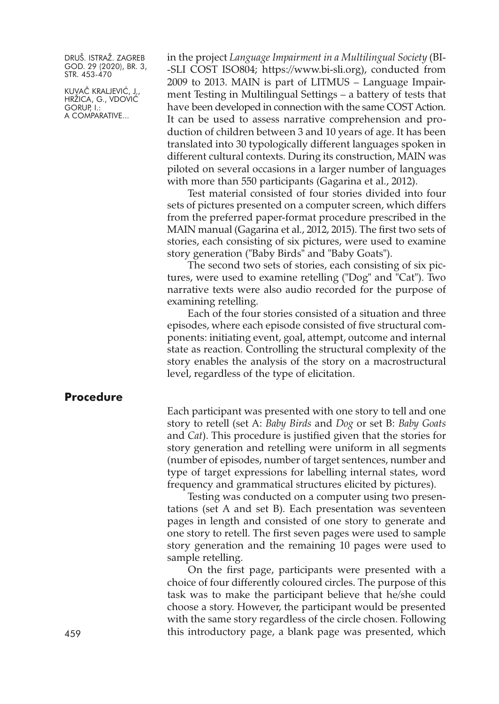KUVAČ KRALJEVIĆ, J., HRŽICA, G., VDOVIĆ GORUP, I.: A COMPARATIVE...

in the project *Language Impairment in a Multilingual Society* (BI- -SLI COST ISO804; https://www.bi-sli.org), conducted from 2009 to 2013. MAIN is part of LITMUS – Language Impairment Testing in Multilingual Settings – a battery of tests that have been developed in connection with the same COST Action. It can be used to assess narrative comprehension and production of children between 3 and 10 years of age. It has been translated into 30 typologically different languages spoken in different cultural contexts. During its construction, MAIN was piloted on several occasions in a larger number of languages with more than 550 participants (Gagarina et al., 2012).

Test material consisted of four stories divided into four sets of pictures presented on a computer screen, which differs from the preferred paper-format procedure prescribed in the MAIN manual (Gagarina et al., 2012, 2015). The first two sets of stories, each consisting of six pictures, were used to examine story generation ("Baby Birds" and "Baby Goats").

The second two sets of stories, each consisting of six pictures, were used to examine retelling ("Dog" and "Cat"). Two narrative texts were also audio recorded for the purpose of examining retelling.

Each of the four stories consisted of a situation and three episodes, where each episode consisted of five structural components: initiating event, goal, attempt, outcome and internal state as reaction. Controlling the structural complexity of the story enables the analysis of the story on a macrostructural level, regardless of the type of elicitation.

#### **Procedure**

Each participant was presented with one story to tell and one story to retell (set A: *Baby Birds* and *Dog* or set B: *Baby Goats* and *Cat*). This procedure is justified given that the stories for story generation and retelling were uniform in all segments (number of episodes, number of target sentences, number and type of target expressions for labelling internal states, word frequency and grammatical structures elicited by pictures).

Testing was conducted on a computer using two presentations (set A and set B). Each presentation was seventeen pages in length and consisted of one story to generate and one story to retell. The first seven pages were used to sample story generation and the remaining 10 pages were used to sample retelling.

On the first page, participants were presented with a choice of four differently coloured circles. The purpose of this task was to make the participant believe that he/she could choose a story. However, the participant would be presented with the same story regardless of the circle chosen. Following 459 this introductory page, a blank page was presented, which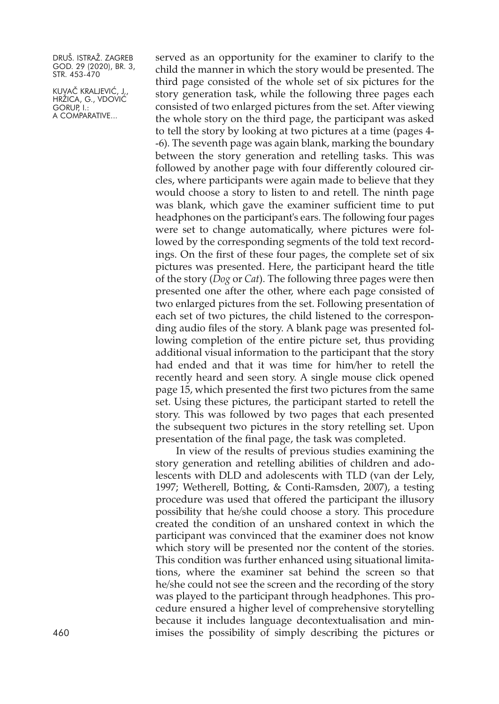KUVAČ KRALJEVIĆ, J., HRŽICA, G., VDOVIĆ GORUP, I.: A COMPARATIVE...

served as an opportunity for the examiner to clarify to the child the manner in which the story would be presented. The third page consisted of the whole set of six pictures for the story generation task, while the following three pages each consisted of two enlarged pictures from the set. After viewing the whole story on the third page, the participant was asked to tell the story by looking at two pictures at a time (pages 4- -6). The seventh page was again blank, marking the boundary between the story generation and retelling tasks. This was followed by another page with four differently coloured circles, where participants were again made to believe that they would choose a story to listen to and retell. The ninth page was blank, which gave the examiner sufficient time to put headphones on the participant's ears. The following four pages were set to change automatically, where pictures were followed by the corresponding segments of the told text recordings. On the first of these four pages, the complete set of six pictures was presented. Here, the participant heard the title of the story (*Dog* or *Cat*). The following three pages were then presented one after the other, where each page consisted of two enlarged pictures from the set. Following presentation of each set of two pictures, the child listened to the corresponding audio files of the story. A blank page was presented following completion of the entire picture set, thus providing additional visual information to the participant that the story had ended and that it was time for him/her to retell the recently heard and seen story. A single mouse click opened page 15, which presented the first two pictures from the same set. Using these pictures, the participant started to retell the story. This was followed by two pages that each presented the subsequent two pictures in the story retelling set. Upon presentation of the final page, the task was completed.

In view of the results of previous studies examining the story generation and retelling abilities of children and adolescents with DLD and adolescents with TLD (van der Lely, 1997; Wetherell, Botting, & Conti-Ramsden, 2007), a testing procedure was used that offered the participant the illusory possibility that he/she could choose a story. This procedure created the condition of an unshared context in which the participant was convinced that the examiner does not know which story will be presented nor the content of the stories. This condition was further enhanced using situational limitations, where the examiner sat behind the screen so that he/she could not see the screen and the recording of the story was played to the participant through headphones. This procedure ensured a higher level of comprehensive storytelling because it includes language decontextualisation and min-460 imises the possibility of simply describing the pictures or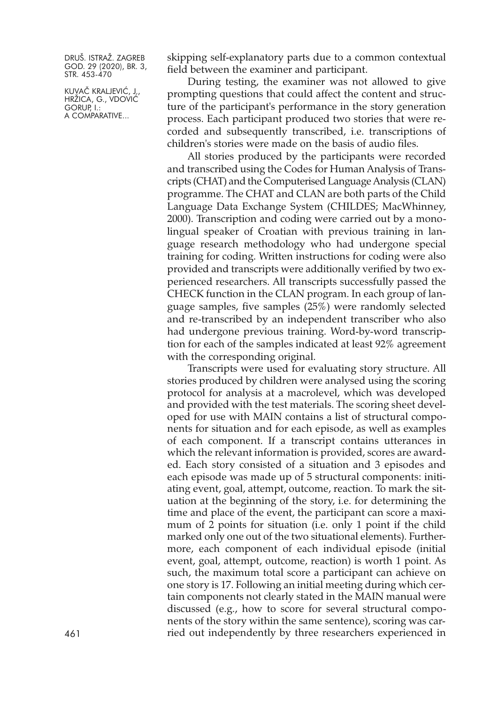KUVAČ KRALJEVIĆ, J., HRŽICA, G., VDOVIĆ GORUP, I.: A COMPARATIVE...

skipping self-explanatory parts due to a common contextual field between the examiner and participant.

During testing, the examiner was not allowed to give prompting questions that could affect the content and structure of the participant's performance in the story generation process. Each participant produced two stories that were recorded and subsequently transcribed, i.e. transcriptions of children's stories were made on the basis of audio files.

All stories produced by the participants were recorded and transcribed using the Codes for Human Analysis of Transcripts (CHAT) and the Computerised Language Analysis (CLAN) programme. The CHAT and CLAN are both parts of the Child Language Data Exchange System (CHILDES; MacWhinney, 2000). Transcription and coding were carried out by a monolingual speaker of Croatian with previous training in language research methodology who had undergone special training for coding. Written instructions for coding were also provided and transcripts were additionally verified by two experienced researchers. All transcripts successfully passed the CHECK function in the CLAN program. In each group of language samples, five samples (25%) were randomly selected and re-transcribed by an independent transcriber who also had undergone previous training. Word-by-word transcription for each of the samples indicated at least 92% agreement with the corresponding original.

Transcripts were used for evaluating story structure. All stories produced by children were analysed using the scoring protocol for analysis at a macrolevel, which was developed and provided with the test materials. The scoring sheet developed for use with MAIN contains a list of structural components for situation and for each episode, as well as examples of each component. If a transcript contains utterances in which the relevant information is provided, scores are awarded. Each story consisted of a situation and 3 episodes and each episode was made up of 5 structural components: initiating event, goal, attempt, outcome, reaction. To mark the situation at the beginning of the story, i.e. for determining the time and place of the event, the participant can score a maximum of 2 points for situation (i.e. only 1 point if the child marked only one out of the two situational elements). Furthermore, each component of each individual episode (initial event, goal, attempt, outcome, reaction) is worth 1 point. As such, the maximum total score a participant can achieve on one story is 17. Following an initial meeting during which certain components not clearly stated in the MAIN manual were discussed (e.g., how to score for several structural components of the story within the same sentence), scoring was car-461 ried out independently by three researchers experienced in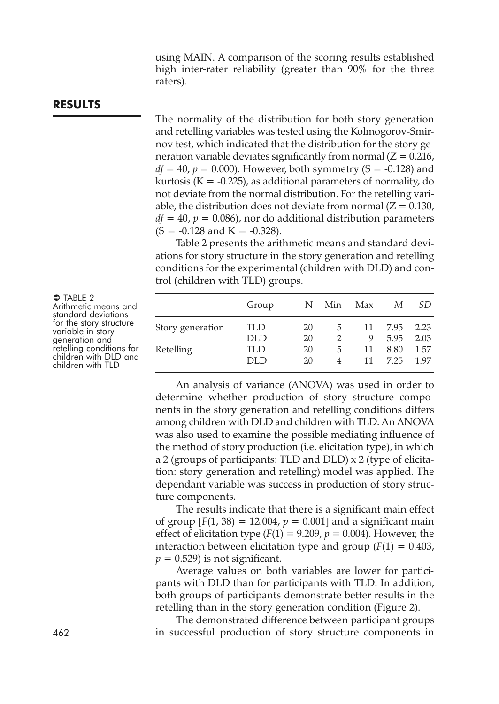using MAIN. A comparison of the scoring results established high inter-rater reliability (greater than 90% for the three raters).

### **RESULTS**

The normality of the distribution for both story generation and retelling variables was tested using the Kolmogorov-Smirnov test, which indicated that the distribution for the story generation variable deviates significantly from normal  $(Z = 0.216$ ,  $df = 40$ ,  $p = 0.000$ . However, both symmetry (S = -0.128) and kurtosis ( $K = -0.225$ ), as additional parameters of normality, do not deviate from the normal distribution. For the retelling variable, the distribution does not deviate from normal  $(Z = 0.130)$ ,  $df = 40$ ,  $p = 0.086$ ), nor do additional distribution parameters  $(S = -0.128$  and  $K = -0.328$ ).

Table 2 presents the arithmetic means and standard deviations for story structure in the story generation and retelling conditions for the experimental (children with DLD) and control (children with TLD) groups.

|                  | Group      | N  | Min | Max | M    | SD.  |
|------------------|------------|----|-----|-----|------|------|
| Story generation | <b>TLD</b> | 20 | b.  | 11  | 7.95 | 2.23 |
|                  | DLD        | 20 |     | 9   | 5.95 | 2.03 |
| Retelling        | TLD        | 20 | 5   | 11  | 8.80 | 1.57 |
|                  | DLD.       | 20 | 4   | 11  | 7.25 | 1.97 |

An analysis of variance (ANOVA) was used in order to determine whether production of story structure components in the story generation and retelling conditions differs among children with DLD and children with TLD. An ANOVA was also used to examine the possible mediating influence of the method of story production (i.e. elicitation type), in which a 2 (groups of participants: TLD and DLD) x 2 (type of elicitation: story generation and retelling) model was applied. The dependant variable was success in production of story structure components.

The results indicate that there is a significant main effect of group  $[F(1, 38) = 12.004, p = 0.001]$  and a significant main effect of elicitation type  $(F(1) = 9.209, p = 0.004)$ . However, the interaction between elicitation type and group  $(F(1) = 0.403)$ ,  $p = 0.529$  is not significant.

Average values on both variables are lower for participants with DLD than for participants with TLD. In addition, both groups of participants demonstrate better results in the retelling than in the story generation condition (Figure 2).

The demonstrated difference between participant groups 462 in successful production of story structure components in

 $\bigcirc$  TABLE 2 Arithmetic means and<br>standard deviations<br>for the story structure<br>variable in story<br>generation and retelling conditions for<br>children with DLD and<br>children with TLD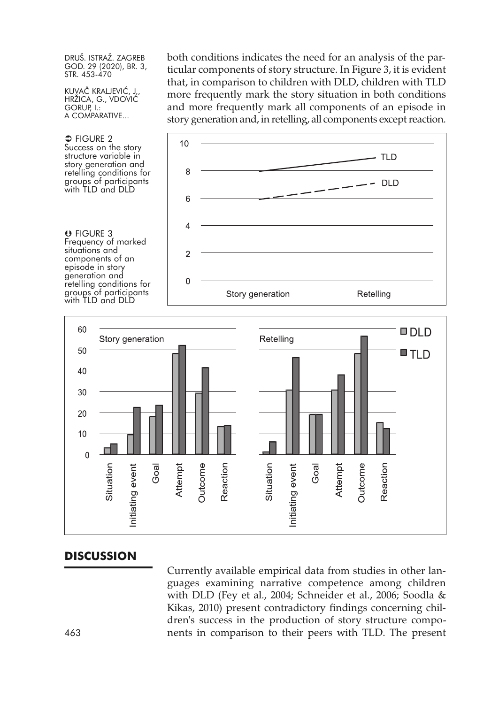KUVAČ KRALJEVIĆ, J., HRŽICA, G., VDOVIĆ GORUP, I.: A COMPARATIVE...

both conditions indicates the need for an analysis of the particular components of story structure. In Figure 3, it is evident that, in comparison to children with DLD, children with TLD more frequently mark the story situation in both conditions and more frequently mark all components of an episode in story generation and, in retelling, all components except reaction.



## **DISCUSSION**

Currently available empirical data from studies in other languages examining narrative competence among children with DLD (Fey et al., 2004; Schneider et al., 2006; Soodla & Kikas, 2010) present contradictory findings concerning children's success in the production of story structure components in comparison to their peers with TLD. The present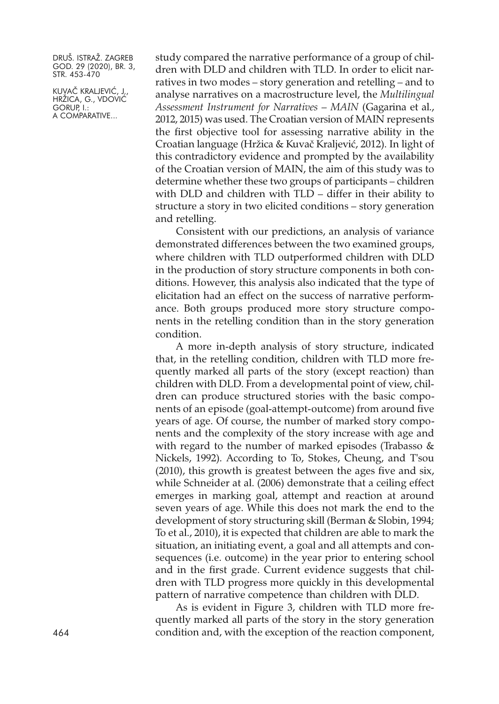KUVAČ KRALJEVIĆ, J., HRŽICA, G., VDOVIĆ GORUP, I.: A COMPARATIVE...

study compared the narrative performance of a group of children with DLD and children with TLD. In order to elicit narratives in two modes – story generation and retelling – and to analyse narratives on a macrostructure level, the *Multilingual Assessment Instrument for Narratives – MAIN* (Gagarina et al., 2012, 2015) was used. The Croatian version of MAIN represents the first objective tool for assessing narrative ability in the Croatian language (Hržica & Kuvač Kraljević, 2012). In light of this contradictory evidence and prompted by the availability of the Croatian version of MAIN, the aim of this study was to determine whether these two groups of participants – children with DLD and children with TLD – differ in their ability to structure a story in two elicited conditions – story generation and retelling.

Consistent with our predictions, an analysis of variance demonstrated differences between the two examined groups, where children with TLD outperformed children with DLD in the production of story structure components in both conditions. However, this analysis also indicated that the type of elicitation had an effect on the success of narrative performance. Both groups produced more story structure components in the retelling condition than in the story generation condition.

A more in-depth analysis of story structure, indicated that, in the retelling condition, children with TLD more frequently marked all parts of the story (except reaction) than children with DLD. From a developmental point of view, children can produce structured stories with the basic components of an episode (goal-attempt-outcome) from around five years of age. Of course, the number of marked story components and the complexity of the story increase with age and with regard to the number of marked episodes (Trabasso  $\&$ Nickels, 1992). According to To, Stokes, Cheung, and T'sou (2010), this growth is greatest between the ages five and six, while Schneider at al. (2006) demonstrate that a ceiling effect emerges in marking goal, attempt and reaction at around seven years of age. While this does not mark the end to the development of story structuring skill (Berman & Slobin, 1994; To et al., 2010), it is expected that children are able to mark the situation, an initiating event, a goal and all attempts and consequences (i.e. outcome) in the year prior to entering school and in the first grade. Current evidence suggests that children with TLD progress more quickly in this developmental pattern of narrative competence than children with DLD.

As is evident in Figure 3, children with TLD more frequently marked all parts of the story in the story generation 464 condition and, with the exception of the reaction component,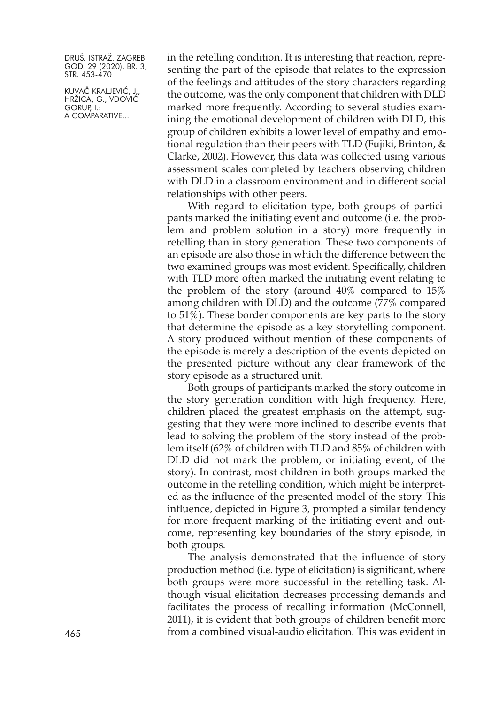KUVAČ KRALJEVIĆ, J., HRŽICA, G., VDOVIĆ GORUP, I.: A COMPARATIVE...

in the retelling condition. It is interesting that reaction, representing the part of the episode that relates to the expression of the feelings and attitudes of the story characters regarding the outcome, was the only component that children with DLD marked more frequently. According to several studies examining the emotional development of children with DLD, this group of children exhibits a lower level of empathy and emotional regulation than their peers with TLD (Fujiki, Brinton, & Clarke, 2002). However, this data was collected using various assessment scales completed by teachers observing children with DLD in a classroom environment and in different social relationships with other peers.

With regard to elicitation type, both groups of participants marked the initiating event and outcome (i.e. the problem and problem solution in a story) more frequently in retelling than in story generation. These two components of an episode are also those in which the difference between the two examined groups was most evident. Specifically, children with TLD more often marked the initiating event relating to the problem of the story (around 40% compared to 15% among children with DLD) and the outcome (77% compared to 51%). These border components are key parts to the story that determine the episode as a key storytelling component. A story produced without mention of these components of the episode is merely a description of the events depicted on the presented picture without any clear framework of the story episode as a structured unit.

Both groups of participants marked the story outcome in the story generation condition with high frequency. Here, children placed the greatest emphasis on the attempt, suggesting that they were more inclined to describe events that lead to solving the problem of the story instead of the problem itself (62% of children with TLD and 85% of children with DLD did not mark the problem, or initiating event, of the story). In contrast, most children in both groups marked the outcome in the retelling condition, which might be interpreted as the influence of the presented model of the story. This influence, depicted in Figure 3, prompted a similar tendency for more frequent marking of the initiating event and outcome, representing key boundaries of the story episode, in both groups.

The analysis demonstrated that the influence of story production method (i.e. type of elicitation) is significant, where both groups were more successful in the retelling task. Although visual elicitation decreases processing demands and facilitates the process of recalling information (McConnell, 2011), it is evident that both groups of children benefit more 465 from a combined visual-audio elicitation. This was evident in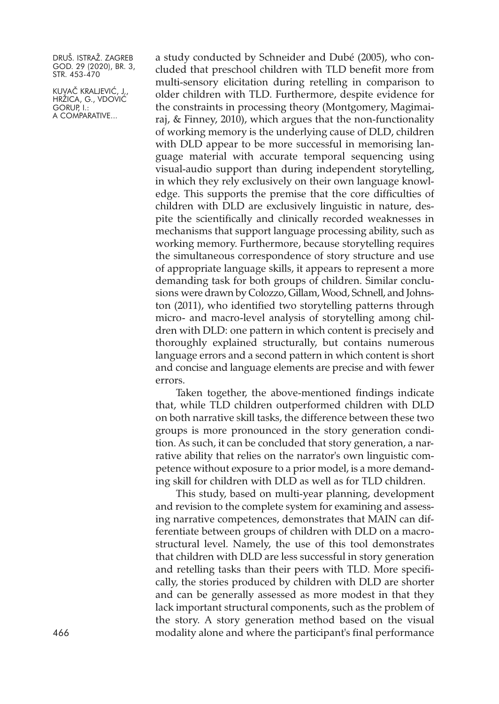KUVAČ KRALJEVIĆ, J., HRŽICA, G., VDOVIĆ GORUP, I.: A COMPARATIVE...

a study conducted by Schneider and Dubé (2005), who concluded that preschool children with TLD benefit more from multi-sensory elicitation during retelling in comparison to older children with TLD. Furthermore, despite evidence for the constraints in processing theory (Montgomery, Magimairaj, & Finney, 2010), which argues that the non-functionality of working memory is the underlying cause of DLD, children with DLD appear to be more successful in memorising language material with accurate temporal sequencing using visual-audio support than during independent storytelling, in which they rely exclusively on their own language knowledge. This supports the premise that the core difficulties of children with DLD are exclusively linguistic in nature, despite the scientifically and clinically recorded weaknesses in mechanisms that support language processing ability, such as working memory. Furthermore, because storytelling requires the simultaneous correspondence of story structure and use of appropriate language skills, it appears to represent a more demanding task for both groups of children. Similar conclusions were drawn by Colozzo, Gillam, Wood, Schnell, and Johnston (2011), who identified two storytelling patterns through micro- and macro-level analysis of storytelling among children with DLD: one pattern in which content is precisely and thoroughly explained structurally, but contains numerous language errors and a second pattern in which content is short and concise and language elements are precise and with fewer errors.

Taken together, the above-mentioned findings indicate that, while TLD children outperformed children with DLD on both narrative skill tasks, the difference between these two groups is more pronounced in the story generation condition. As such, it can be concluded that story generation, a narrative ability that relies on the narrator's own linguistic competence without exposure to a prior model, is a more demanding skill for children with DLD as well as for TLD children.

This study, based on multi-year planning, development and revision to the complete system for examining and assessing narrative competences, demonstrates that MAIN can differentiate between groups of children with DLD on a macrostructural level. Namely, the use of this tool demonstrates that children with DLD are less successful in story generation and retelling tasks than their peers with TLD. More specifically, the stories produced by children with DLD are shorter and can be generally assessed as more modest in that they lack important structural components, such as the problem of the story. A story generation method based on the visual 466 modality alone and where the participant's final performance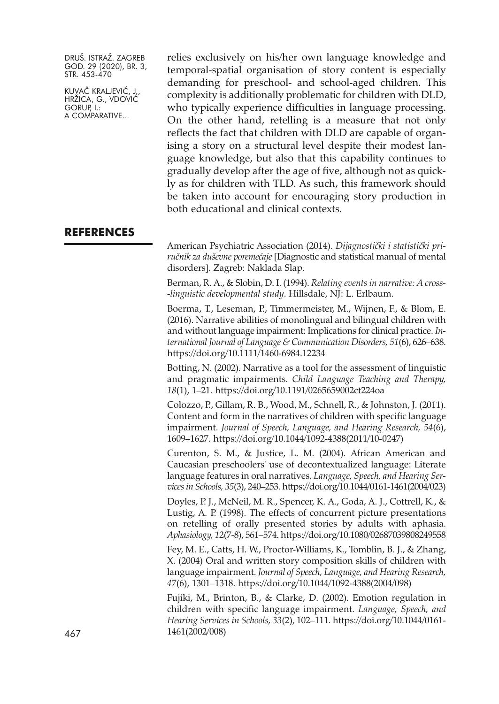KUVAČ KRALJEVIĆ, J., HRŽICA, G., VDOVIĆ GORUP, I.: A COMPARATIVE...

relies exclusively on his/her own language knowledge and temporal-spatial organisation of story content is especially demanding for preschool- and school-aged children. This complexity is additionally problematic for children with DLD, who typically experience difficulties in language processing. On the other hand, retelling is a measure that not only reflects the fact that children with DLD are capable of organising a story on a structural level despite their modest language knowledge, but also that this capability continues to gradually develop after the age of five, although not as quickly as for children with TLD. As such, this framework should be taken into account for encouraging story production in both educational and clinical contexts.

## **REFERENCES**

American Psychiatric Association (2014). *Dijagnostički i statistički priručnik za duševne poremećaje* [Diagnostic and statistical manual of mental disorders]. Zagreb: Naklada Slap.

Berman, R. A., & Slobin, D. I. (1994). *Relating events in narrative: A cross- -linguistic developmental study*. Hillsdale, NJ: L. Erlbaum.

Boerma, T., Leseman, P., Timmermeister, M., Wijnen, F., & Blom, E. (2016). Narrative abilities of monolingual and bilingual children with and without language impairment: Implications for clinical practice. *International Journal of Language & Communication Disorders, 51*(6), 626–638. <https://doi.org/10.1111/1460-6984.12234>

Botting, N. (2002). Narrative as a tool for the assessment of linguistic and pragmatic impairments. *Child Language Teaching and Therapy, 18*(1), 1–21. <https://doi.org/10.1191/0265659002ct224oa>

Colozzo, P., Gillam, R. B., Wood, M., Schnell, R., & Johnston, J. (2011). Content and form in the narratives of children with specific language impairment. *Journal of Speech, Language, and Hearing Research, 54*(6), 1609–1627. [https://doi.org/10.1044/1092-4388\(2011/10-0247\)](https://doi.org/10.1044/1092-4388(2011/10-0247))

Curenton, S. M., & Justice, L. M. (2004). African American and Caucasian preschoolers' use of decontextualized language: Literate language features in oral narratives. *Language, Speech, and Hearing Servicesin Schools, 35*(3), 240–253. [https://doi.org/10.1044/0161-1461\(2004/023\)](https://doi.org/10.1044/0161-1461(2004/023))

Doyles, P. J., McNeil, M. R., Spencer, K. A., Goda, A. J., Cottrell, K., & Lustig, A. P. (1998). The effects of concurrent picture presentations on retelling of orally presented stories by adults with aphasia. *Aphasiology, 12*(7-8), 561–574. <https://doi.org/10.1080/02687039808249558>

Fey, M. E., Catts, H. W., Proctor-Williams, K., Tomblin, B. J., & Zhang, X. (2004) Oral and written story composition skills of children with language impairment. *Journal of Speech, Language, and Hearing Research, 47*(6), 1301–1318. [https://doi.org/10.1044/1092-4388\(2004/098\)](https://doi.org/10.1044/1092-4388(2004/098))

Fujiki, M., Brinton, B., & Clarke, D. (2002). Emotion regulation in children with specific language impairment. *Language, Speech, and Hearing Services in Schools, 33*(2), 102–111. [https://doi.org/10.1044/0161-](https://doi.org/10.1044/0161-1461(2002/008)) 467 [1461\(2002/008\)](https://doi.org/10.1044/0161-1461(2002/008))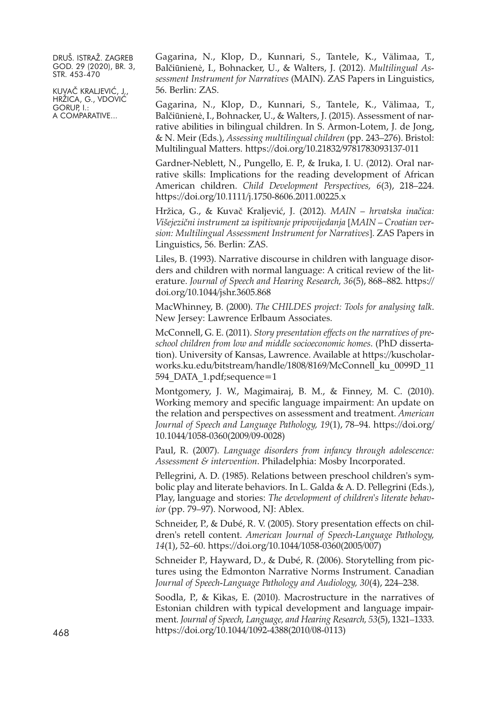KUVAČ KRALJEVIĆ, J., HRŽICA, G., VDOVIĆ GORUP, I.: A COMPARATIVE...

Gagarina, N., Klop, D., Kunnari, S., Tantele, K., Välimaa, T., Balčiūnienė, I., Bohnacker, U., & Walters, J. (2012). *Multilingual Assessment Instrument for Narratives* (MAIN). ZAS Papers in Linguistics, 56. Berlin: ZAS.

Gagarina, N., Klop, D., Kunnari, S., Tantele, K., Välimaa, T., Balčiūnienė, I., Bohnacker, U., & Walters, J. (2015). Assessment of narrative abilities in bilingual children. In S. Armon-Lotem, J. de Jong, & N. Meir (Eds.), *Assessing multilingual children* (pp. 243–276). Bristol: Multilingual Matters. <https://doi.org/10.21832/9781783093137-011>

Gardner-Neblett, N., Pungello, E. P., & Iruka, I. U. (2012). Oral narrative skills: Implications for the reading development of African American children. *Child Development Perspectives, 6*(3), 218–224. <https://doi.org/10.1111/j.1750-8606.2011.00225.x>

Hržica, G., & Kuvač Kraljević, J. (2012). *MAIN – hrvatska inačica: Višejezični instrument za ispitivanje pripovijedanja* [*MAIN – Croatian version: Multilingual Assessment Instrument for Narratives*]. ZAS Papers in Linguistics, 56. Berlin: ZAS.

Liles, B. (1993). Narrative discourse in children with language disorders and children with normal language: A critical review of the literature. *Journal of Speech and Hearing Research, 36*(5), 868–882. [https://](https://doi.org/10.1044/jshr.3605.868) [doi.org/10.1044/jshr.3605.868](https://doi.org/10.1044/jshr.3605.868)

MacWhinney, B. (2000). *The CHILDES project: Tools for analysing talk*. New Jersey: Lawrence Erlbaum Associates.

McConnell, G. E. (2011). *Story presentation effects on the narratives of preschool children from low and middle socioeconomic homes*. (PhD dissertation). University of Kansas, Lawrence. Available at [https://kuscholar](https://kuscholarworks.ku.edu/bitstream/handle/1808/8169/McConnell_ku_0099D_11594_DATA_1.pdf;sequence=1)[works.ku.edu/bitstream/handle/1808/8169/McConnell\\_ku\\_0099D\\_11](https://kuscholarworks.ku.edu/bitstream/handle/1808/8169/McConnell_ku_0099D_11594_DATA_1.pdf;sequence=1) 594 DATA 1.pdf;sequence=1

Montgomery, J. W., Magimairaj, B. M., & Finney, M. C. (2010). Working memory and specific language impairment: An update on the relation and perspectives on assessment and treatment. *American Journal of Speech and Language Pathology, 19*(1), 78–94. [https://doi.org/](https://doi.org/10.1044/1058-0360(2009/09-0028)) [10.1044/1058-0360\(2009/09-0028\)](https://doi.org/10.1044/1058-0360(2009/09-0028))

Paul, R. (2007). *Language disorders from infancy through adolescence: Assessment & intervention*. Philadelphia: Mosby Incorporated.

Pellegrini, A. D. (1985). Relations between preschool children's symbolic play and literate behaviors. In L. Galda & A. D. Pellegrini (Eds.), Play, language and stories: *The development of children's literate behavior* (pp. 79–97). Norwood, NJ: Ablex.

Schneider, P., & Dubé, R. V. (2005). Story presentation effects on children's retell content. *American Journal of Speech-Language Pathology, 14*(1), 52–60. [https://doi.org/10.1044/1058-0360\(2005/007\)](https://doi.org/10.1044/1058-0360(2005/007))

Schneider P., Hayward, D., & Dubé, R. (2006). Storytelling from pictures using the Edmonton Narrative Norms Instrument. Canadian *Journal of Speech-Language Pathology and Audiology, 30*(4), 224–238.

Soodla, P., & Kikas, E. (2010). Macrostructure in the narratives of Estonian children with typical development and language impairment. *Journal of Speech, Language, and Hearing Research, 53*(5), 1321–1333. 468 [https://doi.org/10.1044/1092-4388\(2010/08-0113\)](https://doi.org/10.1044/1092-4388(2010/08-0113))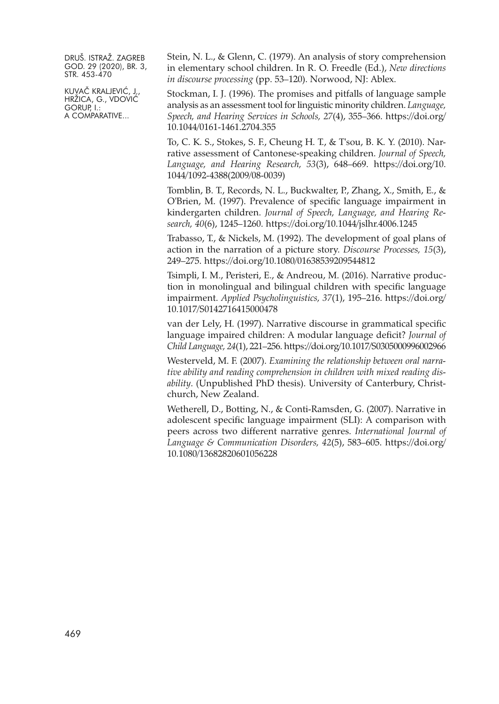KUVAČ KRALJEVIĆ, J., HRŽICA, G., VDOVIĆ GORUP, I.: A COMPARATIVE...

Stein, N. L., & Glenn, C. (1979). An analysis of story comprehension in elementary school children. In R. O. Freedle (Ed.), *New directions in discourse processing* (pp. 53–120). Norwood, NJ: Ablex.

Stockman, I. J. (1996). The promises and pitfalls of language sample analysis as an assessment tool forlinguistic minority children. *Language, Speech, and Hearing Services in Schools, 27*(4), 355–366. [https://doi.org/](https://doi.org/10.1044/0161-1461.2704.355) [10.1044/0161-1461.2704.355](https://doi.org/10.1044/0161-1461.2704.355)

To, C. K. S., Stokes, S. F., Cheung H. T., & T'sou, B. K. Y. (2010). Narrative assessment of Cantonese-speaking children. *Journal of Speech, Language, and Hearing Research, 53*(3), 648–669. [https://doi.org/10.](https://doi.org/10.1044/1092-4388(2009/08-0039)) [1044/1092-4388\(2009/08-0039\)](https://doi.org/10.1044/1092-4388(2009/08-0039))

Tomblin, B. T., Records, N. L., Buckwalter, P., Zhang, X., Smith, E., & O'Brien, M. (1997). Prevalence of specific language impairment in kindergarten children. *Journal of Speech, Language, and Hearing Research, 40*(6), 1245–1260. <https://doi.org/10.1044/jslhr.4006.1245>

Trabasso, T., & Nickels, M. (1992). The development of goal plans of action in the narration of a picture story. *Discourse Processes, 15*(3), 249–275. <https://doi.org/10.1080/01638539209544812>

Tsimpli, I. M., Peristeri, E., & Andreou, M. (2016). Narrative production in monolingual and bilingual children with specific language impairment. *Applied Psycholinguistics, 37*(1), 195–216. [https://doi.org/](https://doi.org/10.1017/S0142716415000478) [10.1017/S0142716415000478](https://doi.org/10.1017/S0142716415000478)

van der Lely, H. (1997). Narrative discourse in grammatical specific language impaired children: A modular language deficit? *Journal of Child Language, 24*(1), 221–256. <https://doi.org/10.1017/S0305000996002966>

Westerveld, M. F. (2007). *Examining the relationship between oral narrative ability and reading comprehension in children with mixed reading disability*. (Unpublished PhD thesis). University of Canterbury, Christchurch, New Zealand.

Wetherell, D., Botting, N., & Conti-Ramsden, G. (2007). Narrative in adolescent specific language impairment (SLI): A comparison with peers across two different narrative genres. *International Journal of Language & Communication Disorders, 42*(5), 583–605. [https://doi.org/](https://doi.org/10.1080/13682820601056228) [10.1080/13682820601056228](https://doi.org/10.1080/13682820601056228)